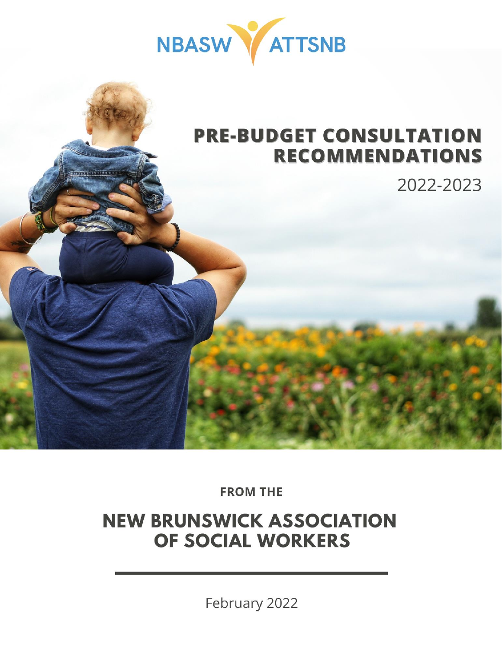

**2022-2023 Pre-Budget Consultation Recommendations**

New Brunswick Association of Social Workers



2022-2023

**FROM THE** 

# **NEW BRUNSWICK ASSOCIATION** OF SOCIAL WORKERS

February 2022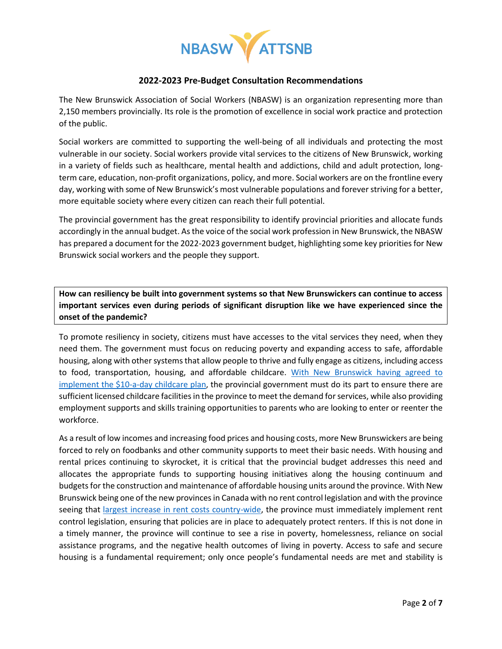

#### **2022-2023 Pre-Budget Consultation Recommendations**

The New Brunswick Association of Social Workers (NBASW) is an organization representing more than 2,150 members provincially. Its role is the promotion of excellence in social work practice and protection of the public.

Social workers are committed to supporting the well-being of all individuals and protecting the most vulnerable in our society. Social workers provide vital services to the citizens of New Brunswick, working in a variety of fields such as healthcare, mental health and addictions, child and adult protection, longterm care, education, non-profit organizations, policy, and more. Social workers are on the frontline every day, working with some of New Brunswick's most vulnerable populations and forever striving for a better, more equitable society where every citizen can reach their full potential.

The provincial government has the great responsibility to identify provincial priorities and allocate funds accordingly in the annual budget. As the voice of the social work profession in New Brunswick, the NBASW has prepared a document for the 2022-2023 government budget, highlighting some key priorities for New Brunswick social workers and the people they support.

**How can resiliency be built into government systems so that New Brunswickers can continue to access important services even during periods of significant disruption like we have experienced since the onset of the pandemic?** 

To promote resiliency in society, citizens must have accesses to the vital services they need, when they need them. The government must focus on reducing poverty and expanding access to safe, affordable housing, along with other systems that allow people to thrive and fully engage as citizens, including access to food, transportation, housing, and affordable childcare. With New Brunswick having agreed to [implement the \\$10-a-day childcare](https://pm.gc.ca/en/news/news-releases/2021/12/13/10-day-child-care-families-new-brunswick) plan, the provincial government must do its part to ensure there are sufficient licensed childcare facilities in the province to meet the demand for services, while also providing employment supports and skills training opportunities to parents who are looking to enter or reenter the workforce.

As a result of low incomes and increasing food prices and housing costs, more New Brunswickers are being forced to rely on foodbanks and other community supports to meet their basic needs. With housing and rental prices continuing to skyrocket, it is critical that the provincial budget addresses this need and allocates the appropriate funds to supporting housing initiatives along the housing continuum and budgets for the construction and maintenance of affordable housing units around the province. With New Brunswick being one of the new provinces in Canada with no rent control legislation and with the province seeing that [largest increase in rent costs country-wide,](https://www.cbc.ca/news/canada/new-brunswick/rent-housing-real-estate-new-brunswick-1.5997150) the province must immediately implement rent control legislation, ensuring that policies are in place to adequately protect renters. If this is not done in a timely manner, the province will continue to see a rise in poverty, homelessness, reliance on social assistance programs, and the negative health outcomes of living in poverty. Access to safe and secure housing is a fundamental requirement; only once people's fundamental needs are met and stability is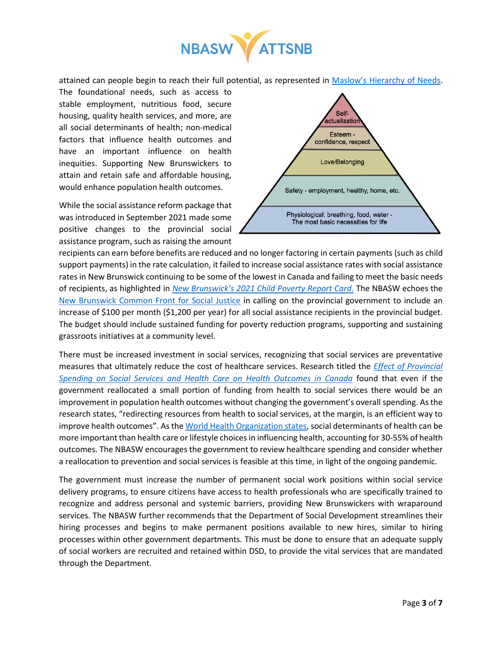

attained can people begin to reach their full potential, as represented in Maslow's [Hierarchy of Needs.](https://pixabay.com/illustrations/needs-hierarchy-maslow-triangle-5193151/)

The foundational needs, such as access to stable employment, nutritious food, secure housing, quality health services, and more, are all social determinants of health; non-medical factors that influence health outcomes and have an important influence on health inequities. Supporting New Brunswickers to attain and retain safe and affordable housing, would enhance population health outcomes.

While the social assistance reform package that was introduced in September 2021 made some positive changes to the provincial social assistance program, such as raising the amount



recipients can earn before benefits are reduced and no longer factoring in certain payments (such as child support payments) in the rate calculation, it failed to increase social assistance rates with social assistance rates in New Brunswick continuing to be some of the lowest in Canada and failing to meet the basic needs of recipients, as highlighted in *New Brunswick's [2021 Child Poverty Report Card](https://sjhdc.ca/wp-content/uploads/2021/11/New-Brunswicks-2021-Child-Poverty-Report-Card-1.pdf)*. The NBASW echoes the [New Brunswick Common Front for Social Justice](https://frontnb.ca/wp-content/uploads/2022/01/Open-Letter-to-Bruce-Fitch-with-signatories-2.pdf) in calling on the provincial government to include an increase of \$100 per month (\$1,200 per year) for all social assistance recipients in the provincial budget. The budget should include sustained funding for poverty reduction programs, supporting and sustaining grassroots initiatives at a community level.

There must be increased investment in social services, recognizing that social services are preventative measures that ultimately reduce the cost of healthcare services. Research titled the *[Effect of Provincial](https://www.cmaj.ca/content/cmaj/190/3/E66.full.pdf)  [Spending on Social Services and Health Care on Health Outcomes in Canada](https://www.cmaj.ca/content/cmaj/190/3/E66.full.pdf)* found that even if the government reallocated a small portion of funding from health to social services there would be an improvement in population health outcomes without changing the government's overall spending. As the research states, "redirecting resources from health to social services, at the margin, is an efficient way to improve health outcomes". As the [World Health Organization states,](https://www.who.int/health-topics/social-determinants-of-health#tab=tab_1) social determinants of health can be more important than health care or lifestyle choices in influencing health, accounting for 30-55% of health outcomes. The NBASW encourages the government to review healthcare spending and consider whether a reallocation to prevention and social services is feasible at this time, in light of the ongoing pandemic.

The government must increase the number of permanent social work positions within social service delivery programs, to ensure citizens have access to health professionals who are specifically trained to recognize and address personal and systemic barriers, providing New Brunswickers with wraparound services. The NBASW further recommends that the Department of Social Development streamlines their hiring processes and begins to make permanent positions available to new hires, similar to hiring processes within other government departments. This must be done to ensure that an adequate supply of social workers are recruited and retained within DSD, to provide the vital services that are mandated through the Department.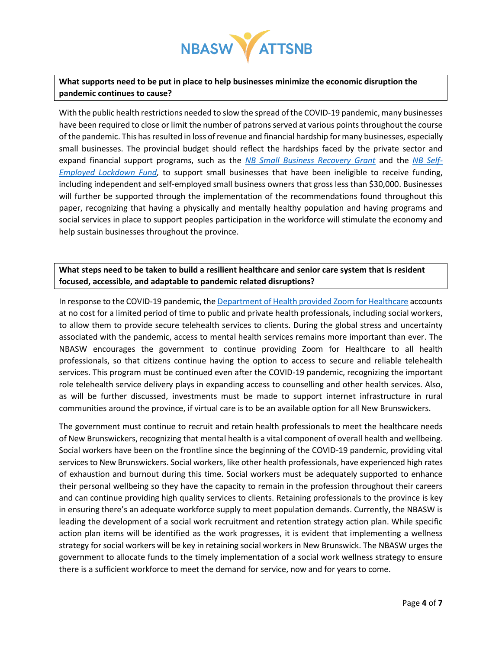

## **What supports need to be put in place to help businesses minimize the economic disruption the pandemic continues to cause?**

With the public health restrictions needed to slow the spread of the COVID-19 pandemic, many businesses have been required to close or limit the number of patrons served at various points throughout the course of the pandemic. This has resulted in loss of revenue and financial hardship for many businesses, especially small businesses. The provincial budget should reflect the hardships faced by the private sector and expand financial support programs, such as the *[NB Small Business Recovery Grant](https://onbcanada.ca/wp-content/uploads/2022/01/2022.01.31-SBRG-P3-FAQ-ENG-3.pdf)* and the *[NB Self-](https://onbcanada.ca/wp-content/uploads/2022/02/2022.02.11-QA-SELF-ENGLISH.pdf)[Employed Lockdown Fund,](https://onbcanada.ca/wp-content/uploads/2022/02/2022.02.11-QA-SELF-ENGLISH.pdf)* to support small businesses that have been ineligible to receive funding, including independent and self-employed small business owners that gross less than \$30,000. Businesses will further be supported through the implementation of the recommendations found throughout this paper, recognizing that having a physically and mentally healthy population and having programs and social services in place to support peoples participation in the workforce will stimulate the economy and help sustain businesses throughout the province.

#### **What steps need to be taken to build a resilient healthcare and senior care system that is resident focused, accessible, and adaptable to pandemic related disruptions?**

In response to the COVID-19 pandemic, th[e Department of Health provided Zoom for Healthcare](https://hpspub.gnb.ca/CC/VCC/Pages/overview.aspx?lang=) accounts at no cost for a limited period of time to public and private health professionals, including social workers, to allow them to provide secure telehealth services to clients. During the global stress and uncertainty associated with the pandemic, access to mental health services remains more important than ever. The NBASW encourages the government to continue providing Zoom for Healthcare to all health professionals, so that citizens continue having the option to access to secure and reliable telehealth services. This program must be continued even after the COVID-19 pandemic, recognizing the important role telehealth service delivery plays in expanding access to counselling and other health services. Also, as will be further discussed, investments must be made to support internet infrastructure in rural communities around the province, if virtual care is to be an available option for all New Brunswickers.

The government must continue to recruit and retain health professionals to meet the healthcare needs of New Brunswickers, recognizing that mental health is a vital component of overall health and wellbeing. Social workers have been on the frontline since the beginning of the COVID-19 pandemic, providing vital services to New Brunswickers. Social workers, like other health professionals, have experienced high rates of exhaustion and burnout during this time. Social workers must be adequately supported to enhance their personal wellbeing so they have the capacity to remain in the profession throughout their careers and can continue providing high quality services to clients. Retaining professionals to the province is key in ensuring there's an adequate workforce supply to meet population demands. Currently, the NBASW is leading the development of a social work recruitment and retention strategy action plan. While specific action plan items will be identified as the work progresses, it is evident that implementing a wellness strategy for social workers will be key in retaining social workers in New Brunswick. The NBASW urges the government to allocate funds to the timely implementation of a social work wellness strategy to ensure there is a sufficient workforce to meet the demand for service, now and for years to come.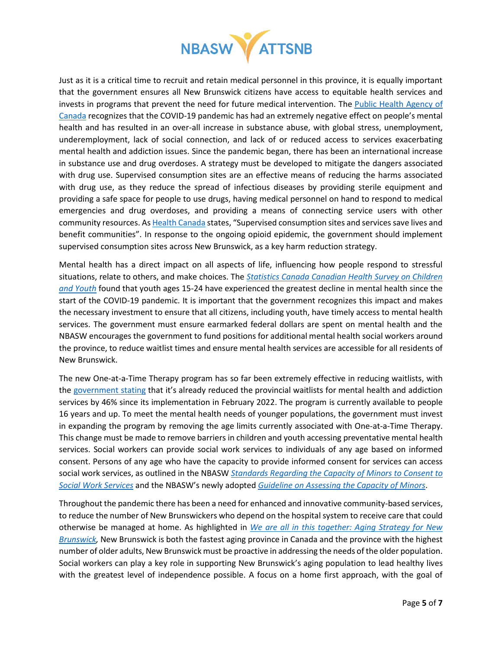

Just as it is a critical time to recruit and retain medical personnel in this province, it is equally important that the government ensures all New Brunswick citizens have access to equitable health services and invests in programs that prevent the need for future medical intervention. The [Public Health Agency](https://www.canada.ca/en/public-health/news/2021/05/covid-19-focus-on-substance-use-and-stigma.html) of [Canada](https://www.canada.ca/en/public-health/news/2021/05/covid-19-focus-on-substance-use-and-stigma.html) recognizes that the COVID-19 pandemic has had an extremely negative effect on people's mental health and has resulted in an over-all increase in substance abuse, with global stress, unemployment, underemployment, lack of social connection, and lack of or reduced access to services exacerbating mental health and addiction issues. Since the pandemic began, there has been an international increase in substance use and drug overdoses. A strategy must be developed to mitigate the dangers associated with drug use. Supervised consumption sites are an effective means of reducing the harms associated with drug use, as they reduce the spread of infectious diseases by providing sterile equipment and providing a safe space for people to use drugs, having medical personnel on hand to respond to medical emergencies and drug overdoses, and providing a means of connecting service users with other community resources. As **Health Canada** states, "Supervised consumption sites and services save lives and benefit communities". In response to the ongoing opioid epidemic, the government should implement supervised consumption sites across New Brunswick, as a key harm reduction strategy.

Mental health has a direct impact on all aspects of life, influencing how people respond to stressful situations, relate to others, and make choices. The *[Statistics Canada Canadian Health Survey on Children](https://www150.statcan.gc.ca/n1/daily-quotidien/200723/dq200723a-eng.htm)  [and Youth](https://www150.statcan.gc.ca/n1/daily-quotidien/200723/dq200723a-eng.htm)* found that youth ages 15-24 have experienced the greatest decline in mental health since the start of the COVID-19 pandemic. It is important that the government recognizes this impact and makes the necessary investment to ensure that all citizens, including youth, have timely access to mental health services. The government must ensure earmarked federal dollars are spent on mental health and the NBASW encourages the government to fund positions for additional mental health social workers around the province, to reduce waitlist times and ensure mental health services are accessible for all residents of New Brunswick.

The new One-at-a-Time Therapy program has so far been extremely effective in reducing waitlists, with the [government stating](https://www2.gnb.ca/content/gnb/en/news/news_release.2022.02.0078.html) that it's already reduced the provincial waitlists for mental health and addiction services by 46% since its implementation in February 2022. The program is currently available to people 16 years and up. To meet the mental health needs of younger populations, the government must invest in expanding the program by removing the age limits currently associated with One-at-a-Time Therapy. This change must be made to remove barriers in children and youth accessing preventative mental health services. Social workers can provide social work services to individuals of any age based on informed consent. Persons of any age who have the capacity to provide informed consent for services can access social work services, as outlined in the NBASW *[Standards Regarding the Capacity of Minors to Consent to](https://www.nbasw-atsnb.ca/assets/Uploads/Standards-Regarding-Capacity-of-Minors-EN.pdf)  [Social Work Services](https://www.nbasw-atsnb.ca/assets/Uploads/Standards-Regarding-Capacity-of-Minors-EN.pdf)* and the NBASW's newly adopted *Guideline [on Assessing the Capacity of Minors](https://www.nbasw-atsnb.ca/assets/Uploads/Guideline-on-Assessing-the-Capacity-of-Minors-EN2.pdf)*.

Throughout the pandemic there has been a need for enhanced and innovative community-based services, to reduce the number of New Brunswickers who depend on the hospital system to receive care that could otherwise be managed at home. As highlighted in *[We are all in this together: Aging Strategy for New](https://www2.gnb.ca/content/dam/gnb/Departments/sd-ds/pdf/Seniors/AnAgingStrategyForNB.pdf)  [Brunswick,](https://www2.gnb.ca/content/dam/gnb/Departments/sd-ds/pdf/Seniors/AnAgingStrategyForNB.pdf)* New Brunswick is both the fastest aging province in Canada and the province with the highest number of older adults, New Brunswick must be proactive in addressing the needs of the older population. Social workers can play a key role in supporting New Brunswick's aging population to lead healthy lives with the greatest level of independence possible. A focus on a home first approach, with the goal of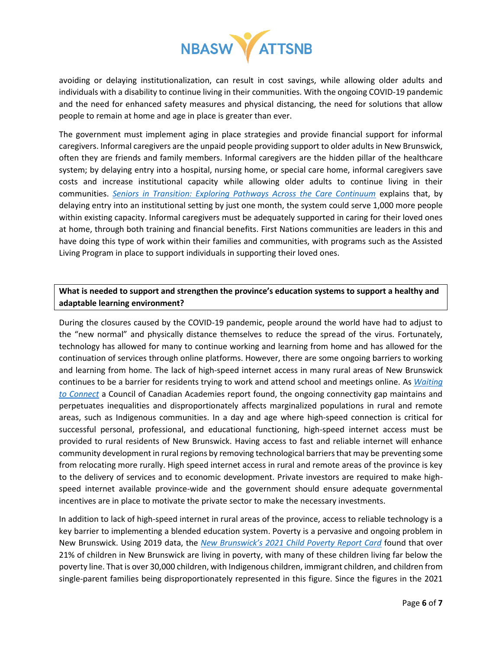

avoiding or delaying institutionalization, can result in cost savings, while allowing older adults and individuals with a disability to continue living in their communities. With the ongoing COVID-19 pandemic and the need for enhanced safety measures and physical distancing, the need for solutions that allow people to remain at home and age in place is greater than ever.

The government must implement aging in place strategies and provide financial support for informal caregivers. Informal caregivers are the unpaid people providing support to older adults in New Brunswick, often they are friends and family members. Informal caregivers are the hidden pillar of the healthcare system; by delaying entry into a hospital, nursing home, or special care home, informal caregivers save costs and increase institutional capacity while allowing older adults to continue living in their communities. *[Seniors in Transition: Exploring Pathways Across the Care Continuum](https://www.cihi.ca/sites/default/files/document/seniors-in-transition-report-2017-en.pdf)* explains that, by delaying entry into an institutional setting by just one month, the system could serve 1,000 more people within existing capacity. Informal caregivers must be adequately supported in caring for their loved ones at home, through both training and financial benefits. First Nations communities are leaders in this and have doing this type of work within their families and communities, with programs such as the Assisted Living Program in place to support individuals in supporting their loved ones.

## **What is needed to support and strengthen the province's education systems to support a healthy and adaptable learning environment?**

During the closures caused by the COVID-19 pandemic, people around the world have had to adjust to the "new normal" and physically distance themselves to reduce the spread of the virus. Fortunately, technology has allowed for many to continue working and learning from home and has allowed for the continuation of services through online platforms. However, there are some ongoing barriers to working and learning from home. The lack of high-speed internet access in many rural areas of New Brunswick continues to be a barrier for residents trying to work and attend school and meetings online. As *[Waiting](https://cca-reports.ca/wp-content/uploads/2022/01/Waiting-to-Connect_FINAL-EN_digital.pdf)  [to Connect](https://cca-reports.ca/wp-content/uploads/2022/01/Waiting-to-Connect_FINAL-EN_digital.pdf)* a Council of Canadian Academies report found, the ongoing connectivity gap maintains and perpetuates inequalities and disproportionately affects marginalized populations in rural and remote areas, such as Indigenous communities. In a day and age where high-speed connection is critical for successful personal, professional, and educational functioning, high-speed internet access must be provided to rural residents of New Brunswick. Having access to fast and reliable internet will enhance community development in rural regions by removing technological barriers that may be preventing some from relocating more rurally. High speed internet access in rural and remote areas of the province is key to the delivery of services and to economic development. Private investors are required to make highspeed internet available province-wide and the government should ensure adequate governmental incentives are in place to motivate the private sector to make the necessary investments.

In addition to lack of high-speed internet in rural areas of the province, access to reliable technology is a key barrier to implementing a blended education system. Poverty is a pervasive and ongoing problem in New Brunswick. Using 2019 data, the *New Brunswick's [2021 Child Poverty Report Card](https://sjhdc.ca/wp-content/uploads/2021/11/New-Brunswicks-2021-Child-Poverty-Report-Card-1.pdf)* found that over 21% of children in New Brunswick are living in poverty, with many of these children living far below the poverty line. That is over 30,000 children, with Indigenous children, immigrant children, and children from single-parent families being disproportionately represented in this figure. Since the figures in the 2021